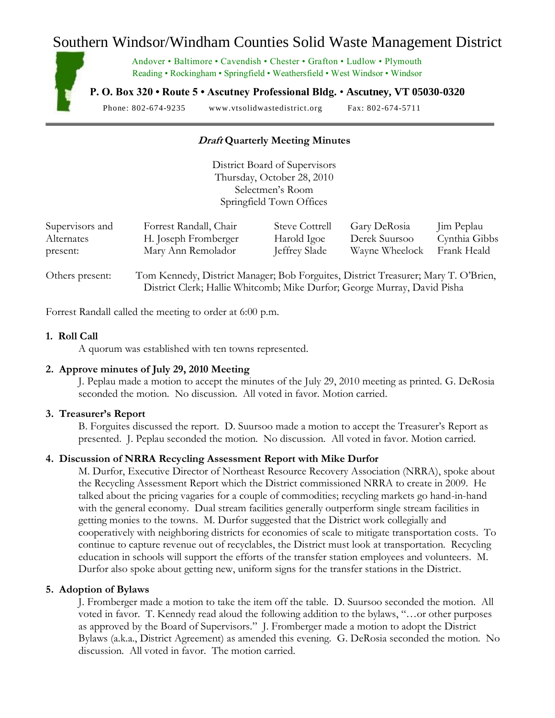# Southern Windsor/Windham Counties Solid Waste Management District

Andover • Baltimore • Cavendish • Chester • Grafton • Ludlow • Plymouth Reading • Rockingham • Springfield • Weathersfield • West Windsor • Windsor

**P. O. Box 320 • Route 5 • Ascutney Professional Bldg.** • **Ascutney, VT 05030-0320**

Phone: 802-674-9235 www.vtsolidwastedistrict.org Fax: 802-674-5711

# **Draft Quarterly Meeting Minutes**

District Board of Supervisors Thursday, October 28, 2010 Selectmen's Room Springfield Town Offices

| Supervisors and | Forrest Randall, Chair | <b>Steve Cottrell</b> | Gary DeRosia   | Jim Peplau    |
|-----------------|------------------------|-----------------------|----------------|---------------|
| Alternates      | H. Joseph Fromberger   | Harold Igoe           | Derek Suursoo  | Cynthia Gibbs |
| present:        | Mary Ann Remolador     | <b>Jeffrey Slade</b>  | Wayne Wheelock | Frank Heald   |
|                 |                        |                       |                |               |

Others present: Tom Kennedy, District Manager; Bob Forguites, District Treasurer; Mary T. O'Brien, District Clerk; Hallie Whitcomb; Mike Durfor; George Murray, David Pisha

Forrest Randall called the meeting to order at 6:00 p.m.

#### **1. Roll Call**

A quorum was established with ten towns represented.

## **2. Approve minutes of July 29, 2010 Meeting**

J. Peplau made a motion to accept the minutes of the July 29, 2010 meeting as printed. G. DeRosia seconded the motion. No discussion. All voted in favor. Motion carried.

#### **3. Treasurer's Report**

B. Forguites discussed the report. D. Suursoo made a motion to accept the Treasurer's Report as presented. J. Peplau seconded the motion. No discussion. All voted in favor. Motion carried.

## **4. Discussion of NRRA Recycling Assessment Report with Mike Durfor**

M. Durfor, Executive Director of Northeast Resource Recovery Association (NRRA), spoke about the Recycling Assessment Report which the District commissioned NRRA to create in 2009. He talked about the pricing vagaries for a couple of commodities; recycling markets go hand-in-hand with the general economy. Dual stream facilities generally outperform single stream facilities in getting monies to the towns. M. Durfor suggested that the District work collegially and cooperatively with neighboring districts for economies of scale to mitigate transportation costs. To continue to capture revenue out of recyclables, the District must look at transportation. Recycling education in schools will support the efforts of the transfer station employees and volunteers. M. Durfor also spoke about getting new, uniform signs for the transfer stations in the District.

#### **5. Adoption of Bylaws**

J. Fromberger made a motion to take the item off the table. D. Suursoo seconded the motion. All voted in favor. T. Kennedy read aloud the following addition to the bylaws, "…or other purposes as approved by the Board of Supervisors." J. Fromberger made a motion to adopt the District Bylaws (a.k.a., District Agreement) as amended this evening. G. DeRosia seconded the motion. No discussion. All voted in favor. The motion carried.